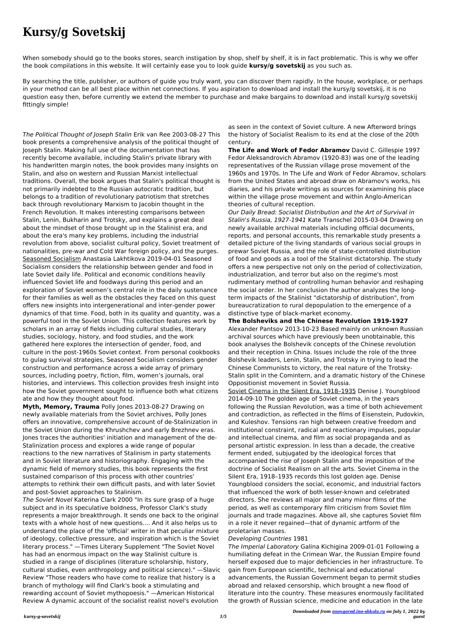## **Kursy/g Sovetskij**

When somebody should go to the books stores, search instigation by shop, shelf by shelf, it is in fact problematic. This is why we offer the book compilations in this website. It will certainly ease you to look guide **kursy/g sovetskij** as you such as.

By searching the title, publisher, or authors of guide you truly want, you can discover them rapidly. In the house, workplace, or perhaps in your method can be all best place within net connections. If you aspiration to download and install the kursy/g sovetskij, it is no question easy then, before currently we extend the member to purchase and make bargains to download and install kursy/g sovetskij fittingly simple!

The Political Thought of Joseph Stalin Erik van Ree 2003-08-27 This book presents a comprehensive analysis of the political thought of Joseph Stalin. Making full use of the documentation that has recently become available, including Stalin's private library with his handwritten margin notes, the book provides many insights on Stalin, and also on western and Russian Marxist intellectual traditions. Overall, the book argues that Stalin's political thought is not primarily indebted to the Russian autocratic tradition, but belongs to a tradition of revolutionary patriotism that stretches back through revolutionary Marxism to Jacobin thought in the French Revolution. It makes interesting comparisons between Stalin, Lenin, Bukharin and Trotsky, and explains a great deal about the mindset of those brought up in the Stalinist era, and about the era's many key problems, including the industrial revolution from above, socialist cultural policy, Soviet treatment of nationalities, pre-war and Cold War foreign policy, and the purges. Seasoned Socialism Anastasia Lakhtikova 2019-04-01 Seasoned Socialism considers the relationship between gender and food in late Soviet daily life. Political and economic conditions heavily influenced Soviet life and foodways during this period and an exploration of Soviet women's central role in the daily sustenance for their families as well as the obstacles they faced on this quest offers new insights into intergenerational and inter-gender power dynamics of that time. Food, both in its quality and quantity, was a powerful tool in the Soviet Union. This collection features work by scholars in an array of fields including cultural studies, literary studies, sociology, history, and food studies, and the work gathered here explores the intersection of gender, food, and culture in the post-1960s Soviet context. From personal cookbooks to gulag survival strategies, Seasoned Socialism considers gender construction and performance across a wide array of primary sources, including poetry, fiction, film, women's journals, oral histories, and interviews. This collection provides fresh insight into how the Soviet government sought to influence both what citizens ate and how they thought about food.

**Myth, Memory, Trauma** Polly Jones 2013-08-27 Drawing on newly available materials from the Soviet archives, Polly Jones offers an innovative, comprehensive account of de-Stalinization in the Soviet Union during the Khrushchev and early Brezhnev eras. Jones traces the authorities' initiation and management of the de-Stalinization process and explores a wide range of popular reactions to the new narratives of Stalinism in party statements and in Soviet literature and historiography. Engaging with the dynamic field of memory studies, this book represents the first sustained comparison of this process with other countries' attempts to rethink their own difficult pasts, and with later Soviet and post-Soviet approaches to Stalinism. The Soviet Novel Katerina Clark 2000 "In its sure grasp of a huge subject and in its speculative boldness, Professor Clark's study represents a major breakthrough. It sends one back to the original texts with a whole host of new questions.... And it also helps us to understand the place of the 'official' writer in that peculiar mixture of ideology, collective pressure, and inspiration which is the Soviet literary process." —Times Literary Supplement "The Soviet Novel has had an enormous impact on the way Stalinist culture is studied in a range of disciplines (literature scholarship, history, cultural studies, even anthropology and political science)." —Slavic Review "Those readers who have come to realize that history is a branch of mythology will find Clark's book a stimulating and rewarding account of Soviet mythopoesis." —American Historical Review A dynamic account of the socialist realist novel's evolution

as seen in the context of Soviet culture. A new Afterword brings the history of Socialist Realism to its end at the close of the 20th century.

**The Life and Work of Fedor Abramov** David C. Gillespie 1997 Fedor Aleksandrovich Abramov (1920-83) was one of the leading representatives of the Russian village prose movement of the 1960s and 1970s. In The Life and Work of Fedor Abramov, scholars from the United States and abroad draw on Abramov's works, his diaries, and his private writings as sources for examining his place within the village prose movement and within Anglo-American theories of cultural reception.

Our Daily Bread: Socialist Distribution and the Art of Survival in Stalin's Russia, 1927-1941 Kate Transchel 2015-03-04 Drawing on newly available archival materials including official documents, reports, and personal accounts, this remarkable study presents a detailed picture of the living standards of various social groups in prewar Soviet Russia, and the role of state-controlled distribution of food and goods as a tool of the Stalinist dictatorship. The study offers a new perspective not only on the period of collectivization, industrialization, and terror but also on the regime's most rudimentary method of controlling human behavior and reshaping the social order. In her conclusion the author analyzes the longterm impacts of the Stalinist "dictatorship of distribution", from bureaucratization to rural depopulation to the emergence of a distinctive type of black-market economy.

**The Bolsheviks and the Chinese Revolution 1919-1927** Alexander Pantsov 2013-10-23 Based mainly on unknown Russian archival sources which have previously been unobtainable, this book analyses the Bolshevik concepts of the Chinese revolution and their reception in China. Issues include the role of the three Bolshevik leaders, Lenin, Stalin, and Trotsky in trying to lead the Chinese Communists to victory, the real nature of the Trotsky-Stalin split in the Comintern, and a dramatic history of the Chinese Oppositionist movement in Soviet Russia.

Soviet Cinema in the Silent Era, 1918–1935 Denise J. Youngblood 2014-09-10 The golden age of Soviet cinema, in the years following the Russian Revolution, was a time of both achievement and contradiction, as reflected in the films of Eisenstein, Pudovkin, and Kuleshov. Tensions ran high between creative freedom and institutional constraint, radical and reactionary impulses, popular and intellectual cinema, and film as social propaganda and as personal artistic expression. In less than a decade, the creative ferment ended, subjugated by the ideological forces that accompanied the rise of Joseph Stalin and the imposition of the doctrine of Socialist Realism on all the arts. Soviet Cinema in the Silent Era, 1918–1935 records this lost golden age. Denise Youngblood considers the social, economic, and industrial factors that influenced the work of both lesser-known and celebrated directors. She reviews all major and many minor films of the period, as well as contemporary film criticism from Soviet film journals and trade magazines. Above all, she captures Soviet film in a role it never regained—that of dynamic artform of the proletarian masses.

## Developing Countries 1981

The Imperial Laboratory Galina Kichigina 2009-01-01 Following a humiliating defeat in the Crimean War, the Russian Empire found herself exposed due to major deficiencies in her infrastructure. To gain from European scientific, technical and educational advancements, the Russian Government began to permit studies abroad and relaxed censorship, which brought a new flood of literature into the country. These measures enormously facilitated the growth of Russian science, medicine and education in the late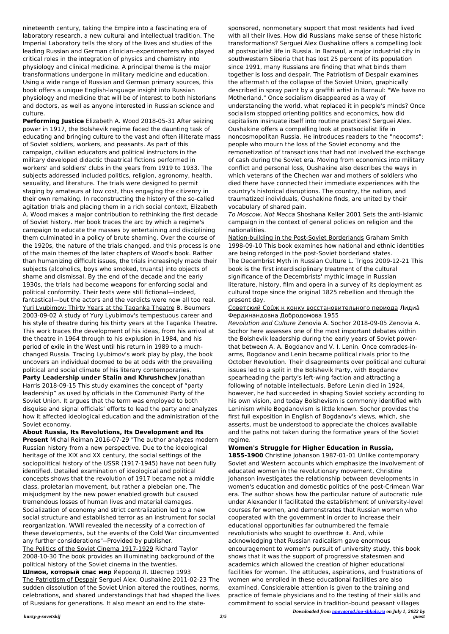*Downloaded from [nnovgorod.ino-shkola.ru](http://nnovgorod.ino-shkola.ru) on July 1, 2022 by guest*

nineteenth century, taking the Empire into a fascinating era of laboratory research, a new cultural and intellectual tradition. The Imperial Laboratory tells the story of the lives and studies of the leading Russian and German clinician–experimenters who played critical roles in the integration of physics and chemistry into physiology and clinical medicine. A principal theme is the major transformations undergone in military medicine and education. Using a wide range of Russian and German primary sources, this book offers a unique English-language insight into Russian physiology and medicine that will be of interest to both historians and doctors, as well as anyone interested in Russian science and culture.

**Performing Justice** Elizabeth A. Wood 2018-05-31 After seizing power in 1917, the Bolshevik regime faced the daunting task of educating and bringing culture to the vast and often illiterate mass of Soviet soldiers, workers, and peasants. As part of this campaign, civilian educators and political instructors in the military developed didactic theatrical fictions performed in workers' and soldiers' clubs in the years from 1919 to 1933. The subjects addressed included politics, religion, agronomy, health, sexuality, and literature. The trials were designed to permit staging by amateurs at low cost, thus engaging the citizenry in their own remaking. In reconstructing the history of the so-called agitation trials and placing them in a rich social context, Elizabeth A. Wood makes a major contribution to rethinking the first decade of Soviet history. Her book traces the arc by which a regime's campaign to educate the masses by entertaining and disciplining them culminated in a policy of brute shaming. Over the course of the 1920s, the nature of the trials changed, and this process is one of the main themes of the later chapters of Wood's book. Rather than humanizing difficult issues, the trials increasingly made their subjects (alcoholics, boys who smoked, truants) into objects of shame and dismissal. By the end of the decade and the early 1930s, the trials had become weapons for enforcing social and political conformity. Their texts were still fictional—indeed, fantastical—but the actors and the verdicts were now all too real. Yuri Lyubimov: Thirty Years at the Taganka Theatre B. Beumers 2003-09-02 A study of Yury Lyubimov's tempestuous career and his style of theatre during his thirty years at the Taganka Theatre. This work traces the development of his ideas, from his arrival at the theatre in 1964 through to his explusion in 1984, and his period of exile in the West until his return in 1989 to a muchchanged Russia. Tracing Lyubimov's work play by play, the book uncovers an individual doomed to be at odds with the prevailing political and social climate of his literary contemporaries.

**Party Leadership under Stalin and Khrushchev** Jonathan Harris 2018-09-15 This study examines the concept of "party leadership" as used by officials in the Communist Party of the Soviet Union. It argues that the term was employed to both disguise and signal officials' efforts to lead the party and analyzes how it affected ideological education and the administration of the Soviet economy.

**About Russia, Its Revolutions, Its Development and Its Present** Michal Reiman 2016-07-29 "The author analyzes modern Russian history from a new perspective. Due to the ideological heritage of the XIX and XX century, the social settings of the sociopolitical history of the USSR (1917-1945) have not been fully identified. Detailed examination of ideological and political concepts shows that the revolution of 1917 became not a middle class, proletarian movement, but rather a plebeian one. The misjudgment by the new power enabled growth but caused tremendous losses of human lives and material damages. Socialization of economy and strict centralization led to a new social structure and established terror as an instrument for social reorganization. WWII revealed the necessity of a correction of these developments, but the events of the Cold War circumvented any further considerations"--Provided by publisher. The Politics of the Soviet Cinema 1917-1929 Richard Taylor 2008-10-30 The book provides an illuminating background of the political history of the Soviet cinema in the twenties. **Шпион, который спас мир** Йерролд Л. Шестер 1993 The Patriotism of Despair Serguei Alex. Oushakine 2011-02-23 The sudden dissolution of the Soviet Union altered the routines, norms, celebrations, and shared understandings that had shaped the lives of Russians for generations. It also meant an end to the statesponsored, nonmonetary support that most residents had lived with all their lives. How did Russians make sense of these historic transformations? Serguei Alex Oushakine offers a compelling look at postsocialist life in Russia. In Barnaul, a major industrial city in southwestern Siberia that has lost 25 percent of its population since 1991, many Russians are finding that what binds them together is loss and despair. The Patriotism of Despair examines the aftermath of the collapse of the Soviet Union, graphically described in spray paint by a graffiti artist in Barnaul: "We have no Motherland." Once socialism disappeared as a way of understanding the world, what replaced it in people's minds? Once socialism stopped orienting politics and economics, how did capitalism insinuate itself into routine practices? Serguei Alex. Oushakine offers a compelling look at postsocialist life in noncosmopolitan Russia. He introduces readers to the "neocoms": people who mourn the loss of the Soviet economy and the remonetization of transactions that had not involved the exchange of cash during the Soviet era. Moving from economics into military conflict and personal loss, Oushakine also describes the ways in which veterans of the Chechen war and mothers of soldiers who died there have connected their immediate experiences with the country's historical disruptions. The country, the nation, and traumatized individuals, Oushakine finds, are united by their vocabulary of shared pain.

To Moscow, Not Mecca Shoshana Keller 2001 Sets the anti-Islamic campaign in the context of general policies on religion and the nationalities.

Nation-building in the Post-Soviet Borderlands Graham Smith 1998-09-10 This book examines how national and ethnic identities are being reforged in the post-Soviet borderland states. The Decembrist Myth in Russian Culture L. Trigos 2009-12-21 This book is the first interdisciplinary treatment of the cultural significance of the Decembrists' mythic image in Russian literature, history, film and opera in a survey of its deployment as cultural trope since the original 1825 rebellion and through the present day.

## Советский Соûж к конку восстановительного периода Лидиâ Фердинандовна Добродомова 1955

Revolution and Culture Zenovia A. Sochor 2018-09-05 Zenovia A. Sochor here assesses one of the most important debates within the Bolshevik leadership during the early years of Soviet powerthat between A. A. Bogdanov and V. I. Lenin. Once comrades-inarms, Bogdanov and Lenin became political rivals prior to the October Revolution. Their disagreements over political and cultural issues led to a split in the Bolshevik Party, with Bogdanov spearheading the party's left-wing faction and attracting a following of notable intellectuals. Before Lenin died in 1924, however, he had succeeded in shaping Soviet society according to his own vision, and today Bolshevism is commonly identified with Leninism while Bogdanovism is little known. Sochor provides the first full exposition in English of Bogdanov's views, which, she asserts, must be understood to appreciate the choices available and the paths not taken during the formative years of the Soviet regime.

**Women's Struggle for Higher Education in Russia, 1855-1900** Christine Johanson 1987-01-01 Unlike contemporary Soviet and Western accounts which emphasize the involvement of educated women in the revolutionary movement, Christine Johanson investigates the relationship between developments in women's education and domestic politics of the post-Crimean War era. The author shows how the particular nature of autocratic rule under Alexander II facilitated the establishment of university-level courses for women, and demonstrates that Russian women who cooperated with the government in order to increase their educational opportunities far outnumbered the female revolutionists who sought to overthrow it. And, while acknowledging that Russian radicalism gave enormous encouragement to women's pursuit of university study, this book shows that it was the support of progressive statesmen and academics which allowed the creation of higher educational facilities for women. The attitudes, aspirations, and frustrations of women who enrolled in these educational facilities are also examined. Considerable attention is given to the training and practice of female physicians and to the testing of their skills and commitment to social service in tradition-bound peasant villages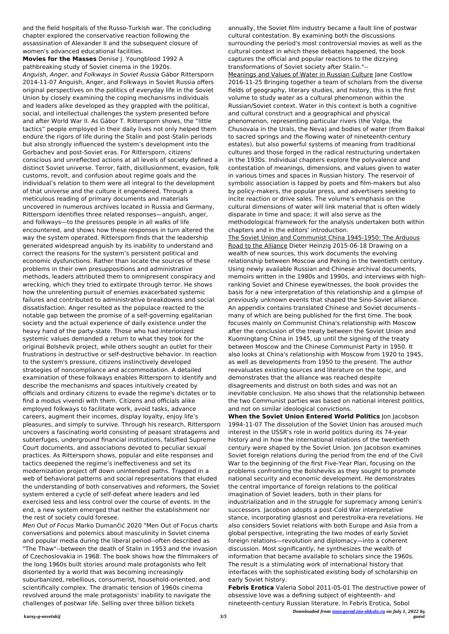*Downloaded from [nnovgorod.ino-shkola.ru](http://nnovgorod.ino-shkola.ru) on July 1, 2022 by guest*

and the field hospitals of the Russo-Turkish war. The concluding chapter explored the conservative reaction following the assassination of Alexander II and the subsequent closure of women's advanced educational facilities.

**Movies for the Masses** Denise J. Youngblood 1992 A pathbreaking study of Soviet cinema in the 1920s. Anguish, Anger, and Folkways in Soviet Russia Gábor Rittersporn 2014-11-07 Anguish, Anger, and Folkways in Soviet Russia offers original perspectives on the politics of everyday life in the Soviet Union by closely examining the coping mechanisms individuals and leaders alike developed as they grappled with the political, social, and intellectual challenges the system presented before and after World War II. As Gábor T. Rittersporn shows, the "little tactics" people employed in their daily lives not only helped them endure the rigors of life during the Stalin and post-Stalin periods but also strongly influenced the system's development into the Gorbachev and post-Soviet eras. For Rittersporn, citizens' conscious and unreflected actions at all levels of society defined a distinct Soviet universe. Terror, faith, disillusionment, evasion, folk customs, revolt, and confusion about regime goals and the individual's relation to them were all integral to the development of that universe and the culture it engendered. Through a meticulous reading of primary documents and materials uncovered in numerous archives located in Russia and Germany, Rittersporn identifies three related responses—anguish, anger, and folkways—to the pressures people in all walks of life encountered, and shows how these responses in turn altered the way the system operated. Rittersporn finds that the leadership generated widespread anguish by its inability to understand and correct the reasons for the system's persistent political and economic dysfunctions. Rather than locate the sources of these problems in their own presuppositions and administrative methods, leaders attributed them to omnipresent conspiracy and wrecking, which they tried to extirpate through terror. He shows how the unrelenting pursuit of enemies exacerbated systemic failures and contributed to administrative breakdowns and social dissatisfaction. Anger resulted as the populace reacted to the notable gap between the promise of a self-governing egalitarian society and the actual experience of daily existence under the heavy hand of the party-state. Those who had interiorized systemic values demanded a return to what they took for the original Bolshevik project, while others sought an outlet for their frustrations in destructive or self-destructive behavior. In reaction to the system's pressure, citizens instinctively developed strategies of noncompliance and accommodation. A detailed examination of these folkways enables Rittersporn to identify and describe the mechanisms and spaces intuitively created by officials and ordinary citizens to evade the regime's dictates or to find a modus vivendi with them. Citizens and officials alike employed folkways to facilitate work, avoid tasks, advance careers, augment their incomes, display loyalty, enjoy life's pleasures, and simply to survive. Through his research, Rittersporn uncovers a fascinating world consisting of peasant stratagems and subterfuges, underground financial institutions, falsified Supreme Court documents, and associations devoted to peculiar sexual practices. As Rittersporn shows, popular and elite responses and tactics deepened the regime's ineffectiveness and set its modernization project off down unintended paths. Trapped in a web of behavioral patterns and social representations that eluded the understanding of both conservatives and reformers, the Soviet system entered a cycle of self-defeat where leaders and led exercised less and less control over the course of events. In the end, a new system emerged that neither the establishment nor the rest of society could foresee. Men Out of Focus Marko Dumančić 2020 "Men Out of Focus charts conversations and polemics about masculinity in Soviet cinema and popular media during the liberal period--often described as "The Thaw"--between the death of Stalin in 1953 and the invasion of Czechoslovakia in 1968. The book shows how the filmmakers of the long 1960s built stories around male protagonists who felt disoriented by a world that was becoming increasingly suburbanized, rebellious, consumerist, household-oriented, and scientifically complex. The dramatic tension of 1960s cinema revolved around the male protagonists' inability to navigate the challenges of postwar life. Selling over three billion tickets

annually, the Soviet film industry became a fault line of postwar cultural contestation. By examining both the discussions surrounding the period's most controversial movies as well as the cultural context in which these debates happened, the book captures the official and popular reactions to the dizzying transformations of Soviet society after Stalin."-- Meanings and Values of Water in Russian Culture Jane Costlow 2016-11-25 Bringing together a team of scholars from the diverse fields of geography, literary studies, and history, this is the first volume to study water as a cultural phenomenon within the Russian/Soviet context. Water in this context is both a cognitive and cultural construct and a geographical and physical phenomenon, representing particular rivers (the Volga, the Chusovaia in the Urals, the Neva) and bodies of water (from Baikal to sacred springs and the flowing water of nineteenth-century estates), but also powerful systems of meaning from traditional cultures and those forged in the radical restructuring undertaken in the 1930s. Individual chapters explore the polyvalence and contestation of meanings, dimensions, and values given to water in various times and spaces in Russian history. The reservoir of symbolic association is tapped by poets and film-makers but also by policy-makers, the popular press, and advertisers seeking to incite reaction or drive sales. The volume's emphasis on the cultural dimensions of water will link material that is often widely disparate in time and space; it will also serve as the methodological framework for the analysis undertaken both within chapters and in the editors' introduction.

The Soviet Union and Communist China 1945-1950: The Arduous Road to the Alliance Dieter Heinzig 2015-06-18 Drawing on a wealth of new sources, this work documents the evolving relationship between Moscow and Peking in the twentieth century. Using newly available Russian and Chinese archival documents, memoirs written in the 1980s and 1990s, and interviews with highranking Soviet and Chinese eyewitnesses, the book provides the basis for a new interpretation of this relationship and a glimpse of previously unknown events that shaped the Sino-Soviet alliance. An appendix contains translated Chinese and Soviet documents many of which are being published for the first time. The book focuses mainly on Communist China's relationship with Moscow after the conclusion of the treaty between the Soviet Union and Kuomingtang China in 1945, up until the signing of the treaty between Moscow and the Chinese Communist Party in 1950. It also looks at China's relationship with Moscow from 1920 to 1945, as well as developments from 1950 to the present. The author reevaluates existing sources and literature on the topic, and demonstrates that the alliance was reached despite disagreements and distrust on both sides and was not an inevitable conclusion. He also shows that the relationship between the two Communist parties was based on national interest politics, and not on similar ideological convictions.

**When the Soviet Union Entered World Politics** Jon Jacobson 1994-11-07 The dissolution of the Soviet Union has aroused much interest in the USSR's role in world politics during its 74-year history and in how the international relations of the twentieth century were shaped by the Soviet Union. Jon Jacobson examines Soviet foreign relations during the period from the end of the Civil War to the beginning of the first Five-Year Plan, focusing on the problems confronting the Bolsheviks as they sought to promote national security and economic development. He demonstrates the central importance of foreign relations to the political imagination of Soviet leaders, both in their plans for industrialization and in the struggle for supremacy among Lenin's successors. Jacobson adopts a post-Cold War interpretative stance, incorporating glasnost and perestroika-era revelations. He also considers Soviet relations with both Europe and Asia from a global perspective, integrating the two modes of early Soviet foreign relations—revolution and diplomacy—into a coherent discussion. Most significantly, he synthesizes the wealth of information that became available to scholars since the 1960s. The result is a stimulating work of international history that interfaces with the sophisticated existing body of scholarship on early Soviet history.

**Febris Erotica** Valeria Sobol 2011-05-01 The destructive power of obsessive love was a defining subject of eighteenth- and nineteenth-century Russian literature. In Febris Erotica, Sobol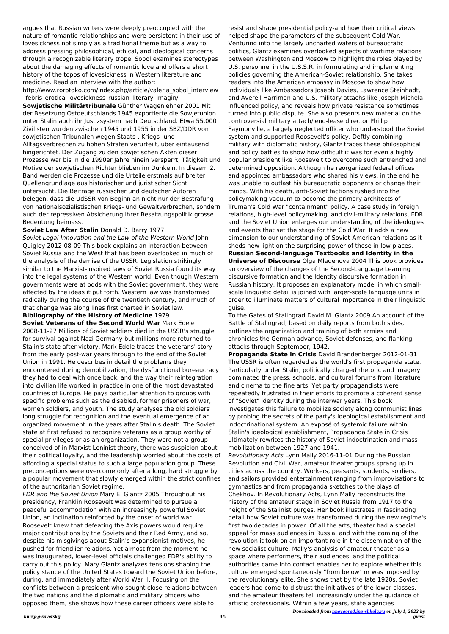*Downloaded from [nnovgorod.ino-shkola.ru](http://nnovgorod.ino-shkola.ru) on July 1, 2022 by guest*

argues that Russian writers were deeply preoccupied with the nature of romantic relationships and were persistent in their use of lovesickness not simply as a traditional theme but as a way to address pressing philosophical, ethical, and ideological concerns through a recognizable literary trope. Sobol examines stereotypes about the damaging effects of romantic love and offers a short history of the topos of lovesickness in Western literature and medicine. Read an interview with the author:

http://www.rorotoko.com/index.php/article/valeria\_sobol\_interview \_febris\_erotica\_lovesickness\_russian\_literary\_imagin/

**Sowjetische Militärtribunale** Günther Wagenlehner 2001 Mit der Besetzung Ostdeutschlands 1945 exportierte die Sowjetunion unter Stalin auch ihr Justizsystem nach Deutschland. Etwa 55.000 Zivilisten wurden zwischen 1945 und 1955 in der SBZ/DDR von sowjetischen Tribunalen wegen Staats-, Kriegs- und Alltagsverbrechen zu hohen Strafen verurteilt, über eintausend hingerichtet. Der Zugang zu den sowjetischen Akten dieser Prozesse war bis in die 1990er Jahre hinein versperrt, Tätigkeit und Motive der sowjetischen Richter blieben im Dunkeln. In diesem 2. Band werden die Prozesse und die Urteile erstmals auf breiter Quellengrundlage aus historischer und juristischer Sicht untersucht. Die Beiträge russischer und deutscher Autoren belegen, dass die UdSSR von Beginn an nicht nur der Bestrafung von nationalsozialistischen Kriegs- und Gewaltverbrechen, sondern auch der repressiven Absicherung ihrer Besatzungspolitik grosse Bedeutung beimass.

## **Soviet Law After Stalin** Donald D. Barry 1977

Soviet Legal Innovation and the Law of the Western World John Quigley 2012-08-09 This book explains an interaction between Soviet Russia and the West that has been overlooked in much of the analysis of the demise of the USSR. Legislation strikingly similar to the Marxist-inspired laws of Soviet Russia found its way into the legal systems of the Western world. Even though Western governments were at odds with the Soviet government, they were affected by the ideas it put forth. Western law was transformed radically during the course of the twentieth century, and much of that change was along lines first charted in Soviet law.

**Bibliography of the History of Medicine** 1979

**Soviet Veterans of the Second World War** Mark Edele 2008-11-27 Millions of Soviet soldiers died in the USSR's struggle for survival against Nazi Germany but millions more returned to Stalin's state after victory. Mark Edele traces the veterans' story from the early post-war years through to the end of the Soviet Union in 1991. He describes in detail the problems they encountered during demobilization, the dysfunctional bureaucracy they had to deal with once back, and the way their reintegration into civilian life worked in practice in one of the most devastated countries of Europe. He pays particular attention to groups with specific problems such as the disabled, former prisoners of war, women soldiers, and youth. The study analyses the old soldiers' long struggle for recognition and the eventual emergence of an organized movement in the years after Stalin's death. The Soviet state at first refused to recognize veterans as a group worthy of special privileges or as an organization. They were not a group conceived of in Marxist-Leninist theory, there was suspicion about their political loyalty, and the leadership worried about the costs of affording a special status to such a large population group. These preconceptions were overcome only after a long, hard struggle by a popular movement that slowly emerged within the strict confines of the authoritarian Soviet regime. FDR and the Soviet Union Mary E. Glantz 2005 Throughout his presidency, Franklin Roosevelt was determined to pursue a peaceful accommodation with an increasingly powerful Soviet Union, an inclination reinforced by the onset of world war. Roosevelt knew that defeating the Axis powers would require major contributions by the Soviets and their Red Army, and so, despite his misgivings about Stalin's expansionist motives, he pushed for friendlier relations. Yet almost from the moment he was inaugurated, lower-level officials challenged FDR's ability to carry out this policy. Mary Glantz analyzes tensions shaping the policy stance of the United States toward the Soviet Union before, during, and immediately after World War II. Focusing on the conflicts between a president who sought close relations between the two nations and the diplomatic and military officers who opposed them, she shows how these career officers were able to

resist and shape presidential policy-and how their critical views helped shape the parameters of the subsequent Cold War. Venturing into the largely uncharted waters of bureaucratic politics, Glantz examines overlooked aspects of wartime relations between Washington and Moscow to highlight the roles played by U.S. personnel in the U.S.S.R. in formulating and implementing policies governing the American-Soviet relationship. She takes readers into the American embassy in Moscow to show how individuals like Ambassadors Joseph Davies, Lawrence Steinhadt, and Averell Harriman and U.S. military attachs like Joseph Michela influenced policy, and reveals how private resistance sometimes turned into public dispute. She also presents new material on the controversial military attach/lend-lease director Phillip Faymonville, a largely neglected officer who understood the Soviet system and supported Roosevelt's policy. Deftly combining military with diplomatic history, Glantz traces these philosophical and policy battles to show how difficult it was for even a highly popular president like Roosevelt to overcome such entrenched and determined opposition. Although he reorganized federal offices and appointed ambassadors who shared his views, in the end he was unable to outlast his bureaucratic opponents or change their minds. With his death, anti-Soviet factions rushed into the policymaking vacuum to become the primary architects of Truman's Cold War "containment" policy. A case study in foreign relations, high-level policymaking, and civil-military relations, FDR and the Soviet Union enlarges our understanding of the ideologies and events that set the stage for the Cold War. It adds a new dimension to our understanding of Soviet-American relations as it sheds new light on the surprising power of those in low places. **Russian Second-language Textbooks and Identity in the**

**Universe of Discourse** Olga Mladenova 2004 This book provides an overview of the changes of the Second-Language Learning discursive formation and the Identity discursive formation in Russian history. It proposes an explanatory model in which smallscale linguistic detail is joined with larger-scale language units in order to illuminate matters of cultural importance in their linguistic guise.

To the Gates of Stalingrad David M. Glantz 2009 An account of the Battle of Stalingrad, based on daily reports from both sides, outlines the organization and training of both armies and chronicles the German advance, Soviet defenses, and flanking attacks through September, 1942.

**Propaganda State in Crisis** David Brandenberger 2012-01-31 The USSR is often regarded as the world's first propaganda state. Particularly under Stalin, politically charged rhetoric and imagery dominated the press, schools, and cultural forums from literature and cinema to the fine arts. Yet party propagandists were repeatedly frustrated in their efforts to promote a coherent sense of "Soviet" identity during the interwar years. This book investigates this failure to mobilize society along communist lines by probing the secrets of the party's ideological establishment and indoctrinational system. An exposé of systemic failure within Stalin's ideological establishment, Propaganda State in Crisis ultimately rewrites the history of Soviet indoctrination and mass mobilization between 1927 and 1941.

Revolutionary Acts Lynn Mally 2016-11-01 During the Russian Revolution and Civil War, amateur theater groups sprang up in cities across the country. Workers, peasants, students, soldiers, and sailors provided entertainment ranging from improvisations to gymnastics and from propaganda sketches to the plays of Chekhov. In Revolutionary Acts, Lynn Mally reconstructs the history of the amateur stage in Soviet Russia from 1917 to the height of the Stalinist purges. Her book illustrates in fascinating detail how Soviet culture was transformed during the new regime's first two decades in power. Of all the arts, theater had a special appeal for mass audiences in Russia, and with the coming of the revolution it took on an important role in the dissemination of the new socialist culture. Mally's analysis of amateur theater as a space where performers, their audiences, and the political authorities came into contact enables her to explore whether this culture emerged spontaneously "from below" or was imposed by the revolutionary elite. She shows that by the late 1920s, Soviet leaders had come to distrust the initiatives of the lower classes, and the amateur theaters fell increasingly under the guidance of artistic professionals. Within a few years, state agencies